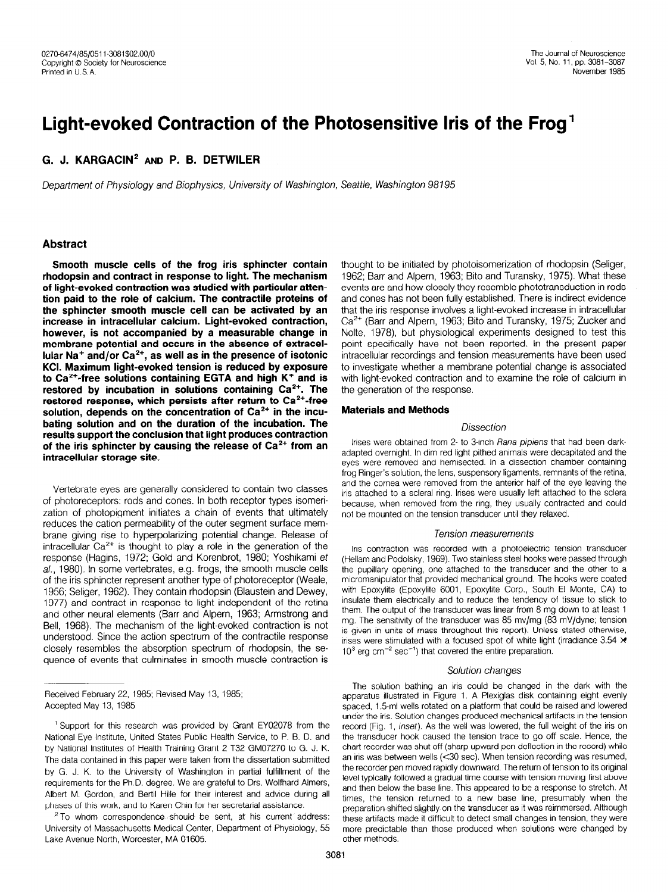# Light-evoked Contraction of the Photosensitive Iris of the Frog'

# G. J. KARGACIN<sup>2</sup> AND P. B. DETWILER

Deparfment of Physiology and Biophysics, University of Washington, Seattle, Washington 98195

#### Abstract

Smooth muscle cells of the frog iris sphincter contain rhodopsin and contract in response to light. The mechanism of light-evoked contraction was studied with particular attention paid to the role of calcium. The contractile proteins of the sphincter smooth muscle cell can be activated by an increase in intracellular calcium. Light-evoked contraction, however, is not accompanied by a measurable change in membrane potential and occurs in the absence of extracellular Na<sup>+</sup> and/or Ca<sup>2+</sup>, as well as in the presence of isotonic KCI. Maximum light-evoked tension is reduced by exposure to Ca<sup>2+</sup>-free solutions containing EGTA and high K<sup>+</sup> and is restored by incubation in solutions containing  $Ca<sup>2+</sup>$ . The restored response, which persists after return to Ca<sup>2+</sup>-free solution, depends on the concentration of  $Ca<sup>2+</sup>$  in the incubating solution and on the duration of the incubation. The results support the conclusion that light produces contraction of the iris sphincter by causing the release of  $Ca<sup>2+</sup>$  from an intracellular storage site.

Vertebrate eyes are generally considered to contain two classes of photoreceptors: rods and cones. In both receptor types isomerization of photopigment initiates a chain of events that ultimately reduces the cation permeability of the outer segment surface membrane giving rise to hyperpolarizing potential change. Release of intracellular  $Ca^{2+}$  is thought to play a role in the generation of the response (Hagins, 1972; Gold and Korenbrot, 1980; Yoshikami et al., 1980). In some vertebrates, e.g. frogs, the smooth muscle cells  $a_i$ , toooj, in some vertebrates, e.g. nogs, the smooth massive centre of the iris sphincter represent another type of photoreceptor (Weale, 1956; Seliger, 1962). They contain rhodopsin (Blaustein and Dewey, 1990, October, 1992). They contain modepoint phase to the retina and computer neuponds to agric and portugate or and Tourid  $\frac{1}{2}$  below the mechanism of the mechanism of the light-evoked contraction is not the lightbell, 1900). The mechanism of the light-evoked contraction is no understood. Since the action spectrum of the contractile response closely resembles the absorption spectrum of rhodopsin, the se-<br>quence of events that culminates in smooth muscle contraction is

Heceived February 22, 1

 $2$  To whom correspondence should be sent, at his current address: University of Massachusetts Medical Center, Department of Physiology, 55 Lake Avenue North, Worcester, MA 01605.

thought to be initiated by photoisomerization of rhodopsin (Seliger, 1962; Barr and Alpern, 1963; Bito and Turansky, 1975). What these events are and how closely they resemble phototransduction in rods and cones has not been fully established. There is indirect evidence that the iris response involves a light-evoked increase in intracellular Ca<sup>2+</sup> (Barr and Alpern, 1963; Bito and Turansky, 1975; Zucker and Nolte, 1978), but physiological experiments designed to test this point specifically have not been reported. In the present paper intracellular recordings and tension measurements have been used to investigate whether a membrane potential change is associated with light-evoked contraction and to examine the role of calcium in the generation of the response.

## Materials and Methods

#### **Dissection**

Irises were obtained from 2- to 3-inch Rana pipiens that had been darkadapted overnight. In dim red light pithed animals were decapitated and the eyes were removed and hemisected. In a dissection chamber containing frog Ringer's solution, the lens, suspensory ligaments, remnants of the retina, and the cornea were removed from the anterior half of the eye leaving the iris attached to a scleral ring. Irises were usually left attached to the sclera because, when removed from the ring, they usually contracted and could not be mounted on the tension transducer until they relaxed.

#### Tension measurements

Iris contraction was recorded with a photoelectric tension transducer (Hellam and Podolsky, 1969). Two stainless steel hooks were passed through the pupillary opening, one attached to the transducer and the other to a micromanipulator that provided mechanical ground. The hooks were coated with Epoxylite function and the Corp. Corp., South El Monte, Castle Corp., South El Monte, Ca, 2011  $sum$  the tendency and the tendency and the tendency of the tendency of the tendency to stick the tendency to stick the tendency of the tendency of the tendency of the tendency of the tendency of the tendency of the tendenc insulate them electrically and to reduce the tendency of tissue to stick to them. The output of the transducer was linear from 8 mg down to at least 1 ment, the superior the transducer was included from 6 mg down to at least ing. The schstavity of the unifolded was so myring (or my ayine, tension is given in units of mass throughout this report). Unless stated otherwise, irises were stimulated with a focused spot of white light (irradiance 3.54  $\times$  10<sup>3</sup> erg cm<sup>-2</sup> sec<sup>-1</sup>) that covered the entire preparation.

#### Solution changes

The solution bathling an instructure changed in the dark with the apparatus illustrated in Figure 1. A Plexiglas disk containing eight evenly spaced, 1.5-ml wells rotated on a platform that could be raised and lowered under the iris. Solution changes produced mechanical artifacts in the tension record (Fig. 1, inset). As the well was lowered, the full weight of the iris on the transducer hook caused the tension trace to go off scale. Hence, the chart recorder was shut off (sharp upward pen deflection in the record) while an iris was between wells ( $<$ 30 sec). When tension recording was resumed, the recorder pen moved rapidly downward. The return of tension to its original level typically followed a gradual time course with tension moving first above and then below the base line. This appeared to be a response to stretch. At times, the tension returned to a new base line, presumably when the preparation shifted slightly on the transducer as it was reimmersed. Although these artifacts made it difficult to detect small changes in tension, they were more predictable than those produced when solutions were changed by other methods.<br>3081

Support for this research was provided by Grant ET02070 nonf the National Eye Institute, United States Public Health Service, to P. B. D. and by National Institutes of Health Training Grant 2 T32 GM07270 to G. J. K. The data contained in this paper were taken from the dissertation submitted by G. J. K. to the University of Washington in partial fulfillment of the requirements for the Ph.D. degree. We are grateful to Drs. Wolfhard Almers, Albert M. Gordon, and Bertil Hille for their interest and advice during all phases of this work, and to Karen Chin for her secretarial assistance.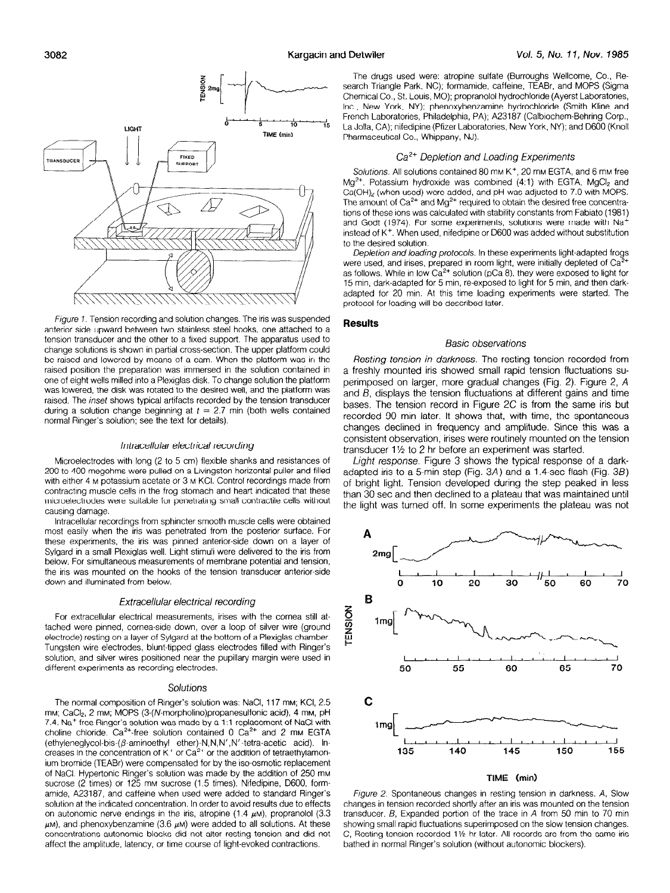### 3082 Kargacin and Detwiler



figure 7. Tension recording and solution changes. The iris was suspended anterior side upward between two stainless steel hooks, one attached to a tension transducer and the other to a fixed support. The apparatus used to change solutions is shown in partial cross-sectlon. The upper platform could be raised and lowered by means of a cam. When the platform was in the raised position the preparation was immersed in the solution contained in one of eight wells milled into a Plexiglas disk. To change solution the platform was lowered, the disk was rotated to the desired well, and the platform was raised. The inset shows typical artifacts recorded by the tension transducer during a solution change beginning at  $t = 2.7$  min (both wells contained normal Ringer's solution; see the text for details).

#### Intracellular electrical recording

Microelectrodes with long (2 to 5 cm) flexible shanks and resistances of 200 to 400 megohms were pulled on a Livingston horizontal puller and filled with either 4 M potassium acetate or 3 M KCI. Control recordings made from contracting muscle cells in the frog stomach and heart indicated that these microelectrodes were suitable for penetrating small contractile cells without causing damage.

Intracellular recordings from sphincter smooth muscle cells were obtained most easily when the iris was penetrated from the posterior surface. For these experiments, the iris was plnned anterior-side down on a layer of Sylgard in a small Plexiglas well. Light stimuli were delivered to the iris from below. For simultaneous measurements of membrane potential and tension, the iris was mounted on the hooks of the tension transducer anterior-side down and illuminated from below.

#### Extracellular electrical recording

For extracellular electrical measurements, irises with the cornea still attached were pinned, cornea-side down, over a loop of silver wire (ground electrode) resting on a layer of Sylgard at the bottom of a Plexiglas chamber. Tungsten wire electrodes, blunt-tipped glass electrodes filled with Ringer's solution, and silver wires positioned near the pupillary margin were used in different experiments as recording electrodes.

#### Solutions

The normal composition of Ringer's solution was: NaCI, 117 mM; KCI, 2.5 mм; CaCl2, 2 mм; MOPS (3-(N-morpholino)propanesulfonic acid), 4 mм, pH 7.4. Na+-free Ringer's solution was made by a 1:l replacement of NaCl with choline chloride.  $Ca^{2+}$ -free solution contained 0  $Ca^{2+}$  and 2 mm EGTA (ethyleneglycol-bis-( $\beta$ -aminoethyl ether)-N,N,N',N'-tetra-acetic acid). Increases in the concentration of K<sup>+</sup> or Ca<sup>2+</sup> or the addition of tetraethylar ium bromide (TEABr) were compensated for by the iso-osmotic replacement of NaCl. Hypertonic Ringer's solution was made by the addition of 250 mm sucrose (2 times) or 125 mm sucrose (1.5 times). Nifedipine, D600, formamide, A23187, and caffeine when used were added to standard Ringer's solution at the indicated concentration. In order to avoid results due to effects on autonomic nerve endings in the iris, atropine (1.4  $\mu$ M), propranolol (3.3  $\mu$ M), and phenoxybenzamine (3.6  $\mu$ M) were added to all solutions. At these concentrations autonomic blocks did not alter resting tension and did not affect the amplitude, latency, or time course of light-evoked contractions.

The drugs used were: atropine sulfate (Burroughs Wellcome, Co., Research Triangle Park, NC); formamide, caffeine, TEABr, and MOPS (Sigma Chemical Co., St. Louis, MO); propranolol hydrochloride (Ayerst Laboratories, Inc., New York, NY); phenoxybenzamine hydrochloride (Smith Kline and French Laboratories, Philadelphia, PA); A23187 (Calblochem-Behring Corp., La Jolla, CA); nifedipine (Pfizer Laboratories, New York, NY); and D600 (Knoll Pharmaceutical Co., Whippany, NJ).

#### Ca<sup>2+</sup> Depletion and Loading Experiments

Solutions. All solutions contained 80 mm K<sup>+</sup>, 20 mm EGTA, and 6 mm free  $Mg^{2+}$ . Potassium hydroxide was combined (4:1) with EGTA,  $MgCl<sub>2</sub>$  and Ca(OH)<sub>2</sub> (when used) were added, and pH was adjusted to 7.0 with MOPS. The amount of  $Ca<sup>2+</sup>$  and Mg<sup>2+</sup> required to obtain the desired free concentrations of these ions was calculated with stability constants from Fabiato (1981) and Godt (1974). For some experiments, solutions were made with Na+ instead of K<sup>+</sup>. When used, nifedipine or D600 was added without substitution to the desired solution.

Depletion and loading protocols. In these experiments light-adapted frogs were used, and irises, prepared in room light, were initially depleted of Ca<sup>2</sup> as follows. While in low  $Ca^{2+}$  solution (pCa 8), they were exposed to light for 15 min, dark-adapted for 5 min, re-exposed to light for 5 min, and then darkadapted for 20 min. At this time loading experiments were started. The protocol for loading will be described later.

#### Results

#### Basic observations

Resting tension in darkness. The resting tension recorded from a freshly mounted iris showed small rapid tension fluctuations superimposed on larger, more gradual changes (Fig. 2). Figure 2, A and B, displays the tension fluctuations at different gains and time bases. The tension record in Figure 2C is from the same iris but recorded 90 min later. It shows that, with time, the spontaneous changes declined in frequency and amplitude. Since this was a consistent observation, irises were routinely mounted on the tension transducer 1% to 2 hr before an experiment was started.

Light response. Figure 3 shows the typical response of a darkadapted iris to a 5-min step (Fig. 3A) and a 1.4-sec flash (Fig. 3B) of bright light. Tension developed during the step peaked in less than 30 sec and then declined to a plateau that was maintained until the light was turned off. In some experiments the plateau was not



Figure 2. Spontaneous changes in resting tension in darkness. A, Slow changes in tension recorded shortly after an iris was mounted on the tension transducer. B, Expanded portion of the trace in A from 50 min to 70 min showing small rapid fluctuations superimposed on the slow tension changes. C, Resting tension recorded 1% hr later. All records are from the same iris bathed in normal Ringer's solution (without autonomic blockers).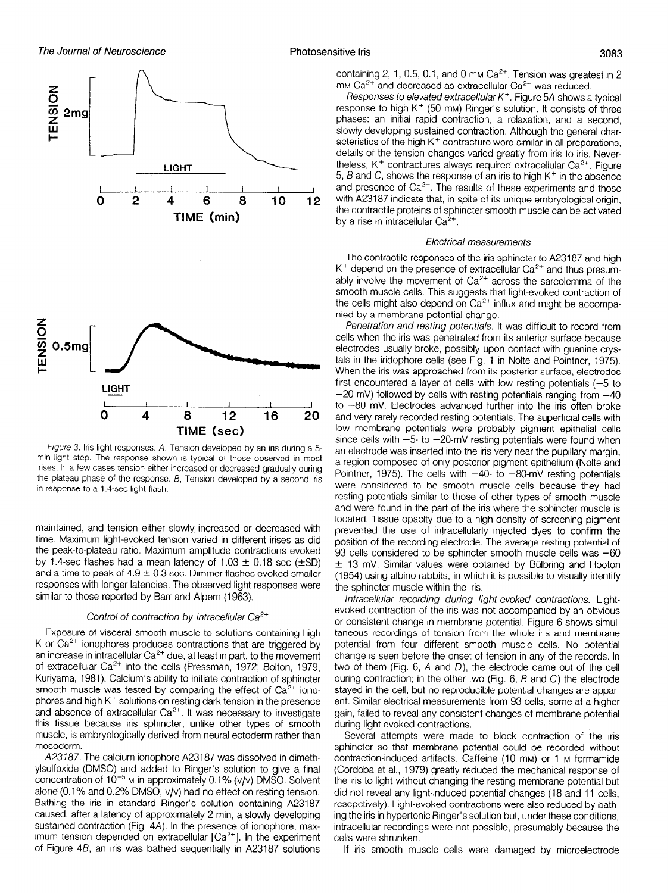

Figure 3. Iris light responses. A, Tension developed by an iris during a 5 min light step. The response shown is typical of those observed in most irises. In a few cases tension either increased or decreased gradually during the plateau phase of the response.  $B$ , Tension developed by a second iris in response to a 1.4-sec light flash.

maintained, and tension either slowly increased or decreased with time. Maximum light-evoked tension varied in different irises as did the peak-to-plateau ratio. Maximum amplitude contractions evoked by 1.4-sec flashes had a mean latency of  $1.03 \pm 0.18$  sec ( $\pm$ SD) and a time to peak of  $4.9 \pm 0.3$  sec. Dimmer flashes evoked smaller responses with longer latencies. The observed light responses were similar to those reported by Barr and Alpern (1963).

#### Control of contraction by intracellular  $Ca<sup>2+</sup>$

Exposure of visceral smooth muscle to solutions containing high K or  $Ca<sup>2+</sup>$  ionophores produces contractions that are triggered by an increase in intracellular  $Ca^{2+}$  due, at least in part, to the movement of extracellular  $Ca^{2+}$  into the cells (Pressman, 1972; Bolton, 1979; Kuriyama, 1981). Calcium's ability to initiate contraction of sphincter  $s$  is equal to  $\sigma$  is the effect of the effect of  $\sigma$  and  $\sigma$  is the effect of  $\sigma$   $\sigma$ <sup>2+</sup> is the effect of  $\sigma$ <sup>2+</sup> is the effect of  $\sigma$ <sup>2+</sup> phores and high K+ solutions on resting directions of our none  $\frac{1}{2}$  and absence of extractlular  $\frac{1}{2}$ . It was necessary to investigate to investigate the investigate of  $\frac{1}{2}$ . und abounce of extractment of the was necessary to investigate this tissue because iris sphincter, unlike other types of smooth muscle, is embryologically derived from neural ectoderm rather than mesoderm.  $\frac{1}{2}$ 300000111.

ylsulfoxide (DMSO) and addition to DVSO) and addition to give a final solution to give a final solution to give ylsulfoxide (DMSO) and added to Ringer's solution to give a final concentration of  $10^{-5}$  M in approximately 0.1% (v/v) DMSO. Solvent alone (0.1% and 0.2% DMSO,  $v/v$ ) had no effect on resting tension. Bathing the iris in standard Ringer's solution containing A23187 caused, after a latency of approximately 2 min, a slowly developing sustained contraction (Fig. 4A). In the presence of ionophore, maximum tension depended on extracellular  $[Ca^{2+}]$ . In the experiment of Figure 4B, an iris was bathed sequentially in A23187 solutions containing 2, 1, 0.5, 0.1, and 0 mm  $Ca<sup>2+</sup>$ . Tension was greatest in 2 mm Ca<sup>2+</sup> and decreased as extracellular Ca<sup>2+</sup> was reduced.

Responses to elevated extracellular  $K^+$ . Figure 5A shows a typical response to high  $K^+$  (50 mm) Ringer's solution. It consists of three phases: an initial rapid contraction, a relaxation, and a second, slowly developing sustained contraction. Although the general characteristics of the high K<sup>+</sup> contracture were similar in all preparations, details of the tension changes varied greatly from iris to iris. Nevertheless,  $K^+$  contractures always required extracellular  $Ca<sup>2+</sup>$ . Figure 5,  $B$  and C, shows the response of an iris to high K<sup>+</sup> in the absence and presence of  $Ca<sup>2+</sup>$ . The results of these experiments and those with A23187 indicate that, in spite of its unique embryological origin, the contractile proteins of sphincter smooth muscle can be activated by a rise in intracellular  $Ca<sup>2+</sup>$ .

#### Electrical measurements

The contractile responses of the iris sphincter to A23187 and high  $K^+$  depend on the presence of extracellular  $Ca^{2+}$  and thus presumably involve the movement of  $Ca<sup>2+</sup>$  across the sarcolemma of the smooth muscle cells. This suggests that light-evoked contraction of the cells might also depend on  $Ca<sup>2+</sup>$  influx and might be accompanied by a membrane potential change.

Penetration and resting potentials. It was difficult to record from cells when the iris was penetrated from its anterior surface because electrodes usually broke, possibly upon contact with guanine crystals in the iridophore cells (see Fig. 1 in Nolte and Pointner, 1975). When the iris was approached from its posterior surface, electrodes first encountered a layer of cells with low resting potentials  $(-5)$  to  $-20$  mV) followed by cells with resting potentials ranging from  $-40$ to  $-80$  mV. Electrodes advanced further into the iris often broke and very rarely recorded resting potentials. The superficial cells with low membrane potentials were probably pigment epithelial cells since cells with  $-5$ - to  $-20$ -mV resting potentials were found when an electrode was inserted into the iris very near the pupillary margin, a region composed of only posterior pigment epithelium (Nolte and Pointner, 1975). The cells with  $-40$ - to  $-80$ -mV resting potentials were considered to be smooth muscle cells because they had resting potentials similar to those of other types of smooth muscle and were found in the part of the iris where the sphincter muscle is located. Tissue opacity due to a high density of screening pigment prevented the use of intracellularly injected dyes to confirm the position of the recording electrode. The average resting potential of 93 cells considered to be sphincter smooth muscle ceils was -60 93 cells considered to be sphincter smooth muscle cells was  $-60$  $\pm$  13 mV. Similar values were obtained by Bülbring and Hooton (1954) using albino rabbits, in which it is possible to visually identify the sphincter muscle within the iris. Intracellular recording during light-evoked contractions. Light-

evoked contraction of the iris was not accompanied by an obvious. Light evoked contraction of the iris was not accompanied by an obvious or consistent change in membrane potential. Figure 6 shows simultaneous recordings of tension from the whole iris and membrane potential from four different smooth muscle cells. No potential from the potential from the cells. No potential from the cells. No potential from the cells. No possible cells. No possible cells. No possible cells. No possi potential from four unferent simplem muscle cens. In potential the of them (Fig. 6, A and D), the electrode came of the cellulas, in  $\frac{d}{dx}$  or alchit (Fig. 0,  $\pi$  and  $D$ ), the electrode cannel out of the electrode during contraction; in the other two (Fig.  $6, B$  and C) the electrode stayed in the cell, but no reproducible potential changes are apparent. Similar electrical measurements from 93 cells, some at a higher gain, failed to reveal any consistent changes of membrane potential during light-evoked contractions.

Several attempts were made to block contraction of the iris sphincter so that membrane potential could be recorded without contraction-induced artifacts. Caffeine (10 mm) or 1 m formamide (Cordoba et al., 1979) greatly reduced the mechanical response of the iris to light without changing the resting membrane potential but did not reveal any light-induced potential changes (18 and 11 cells, resepctively). Light-evoked contractions were also reduced by bathing the iris in hypertonic Ringer's solution but, under these conditions. intracellular recordings were not possible, presumably because the cells were shrunken.<br>If iris smooth muscle cells were damaged by microelectrode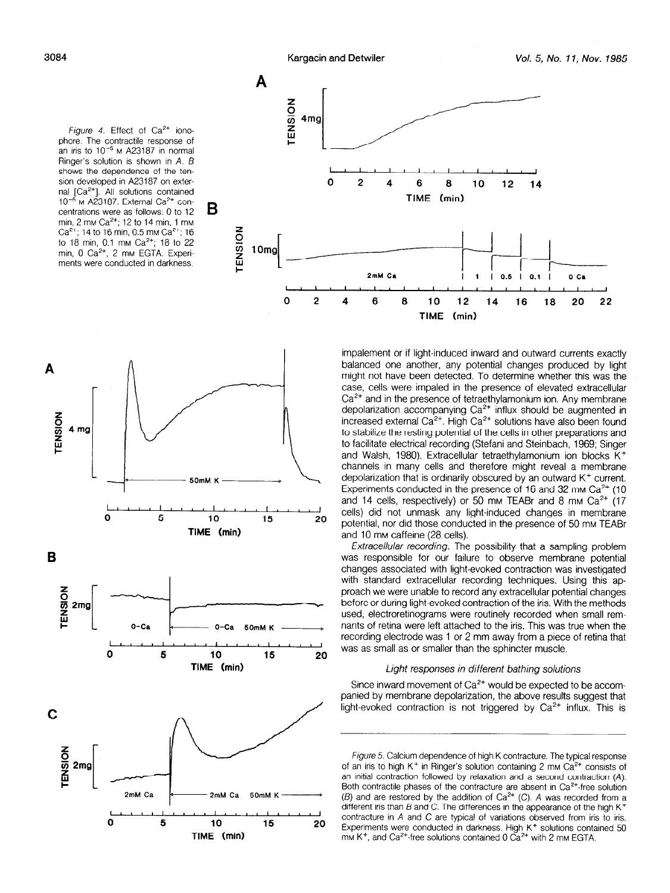Figure 4. Effect of  $Ca^{2+}$  ionophore. The contractile response of an iris to  $10^{-5}$  M A23187 in normal Ringer's solution is shown in  $A$ .  $B$ shows the dependence of the tension developed in A23187 on external [Ca<sup>2+</sup>]. All solutions contained  $10^{-5}$  M A23187. External Ca<sup>2+</sup> concentrations were as follows: 0 to 12 min, 2 mm Ca<sup>2+</sup>; 12 to 14 min, 1 mm Ca<sup>2+</sup>; 14 to 16 min, 0.5 mm Ca<sup>2+</sup>; 16 to 18 min, 0.1 mm Ca<sup>2+</sup>; 18 to 22 min,  $0 \text{ Ca}^{2+}$ ,  $2 \text{ mm}$  EGTA. Experiments were conducted in darkness.



impalement or if light-induced inward and outward currents exactly balanced one another, any potential changes produced by light might not have been detected. To determine whether this was the case, cells were impaled in the presence of elevated extracellular  $Ca<sup>2+</sup>$  and in the presence of tetraethylamonium ion. Any membrane depolarization accompanying  $\cos^2t$  influx should be averaged in increased external Ca'+. High Ca\*+ solutions have also been found to stabilize the resting potential of the cells in other preparations and to facilitate electrical recording (Stefani and Steinbach, 1969; Singer and Walsh, 1980). Extracellular tetraethylamonium ion blocks K+ channels in many cells and therefore might reveal a membrane depolarization that is ordinarily obscured by an outward  $K^+$  current. Experiments conducted in the presence of 16 and 32 mm  $Ca<sup>2+</sup>$  (10 and 14 cells, respectively) or 50 mm TEABr and 8 mm  $Ca<sup>2+</sup>$  (17 cells) did not unmask any light-induced changes in membrane potential, nor did those conducted in the presence of 50 mm TEABr and 10 mm caffeine (28 cells).

Extracellular recording. The possibility that a sampling problem was responsible for our failure to observe membrane potential changes associated with light-evoked contraction was investigated with good according the recording techniques. We investigate with standard extracellular recording techniques. Comy this ap  $p$ ivach we were unable to record any extractional potential change. used of during ight sydned contraction of the instrument ine method. used, electroretinograms were routinely recorded when small remnants of retina were left attached to the iris. This was true when the recording electrode was 1 or 2 mm away from a piece of retina that was as small as or smaller than the sphincter muscle.

### Light responses in different bathing solutions

 $S_{\rm eff}$  in ward movement of  $C_{\rm eff}$  would be expected to be accompance inward movement or Ca<sup>-1</sup> would be expected to be accompanied by membrane depolarization, the above results suggest that light-evoked contraction is not triggered by  $Ca<sup>2+</sup>$  influx. This is

Figure 5. Calcium dependence of high K contracture. The typical response of an iris to high K<sup>+</sup> in Ringer's solution containing 2 mm  $Ca<sup>2+</sup>$  consists of an initial contraction followed by relaxation and a second contraction  $(A)$ . Both contractile phases of the contracture are absent in  $Ca<sup>2+</sup>$  free solution (B) and are restored by the addition of Ca<sup>2+</sup> (C). A was recorded from a different iris than B and C. The differences in the appearance of the high K<sup>+</sup> contracture in A and C are typical of variations observed from iris to iris. Experiments were conducted in darkness. High K<sup>+</sup> solutions contained 50 mm K<sup>+</sup>, and Ca<sup>2+</sup>-free solutions contained 0 Ca<sup>2+</sup> with 2 mm EGTA.





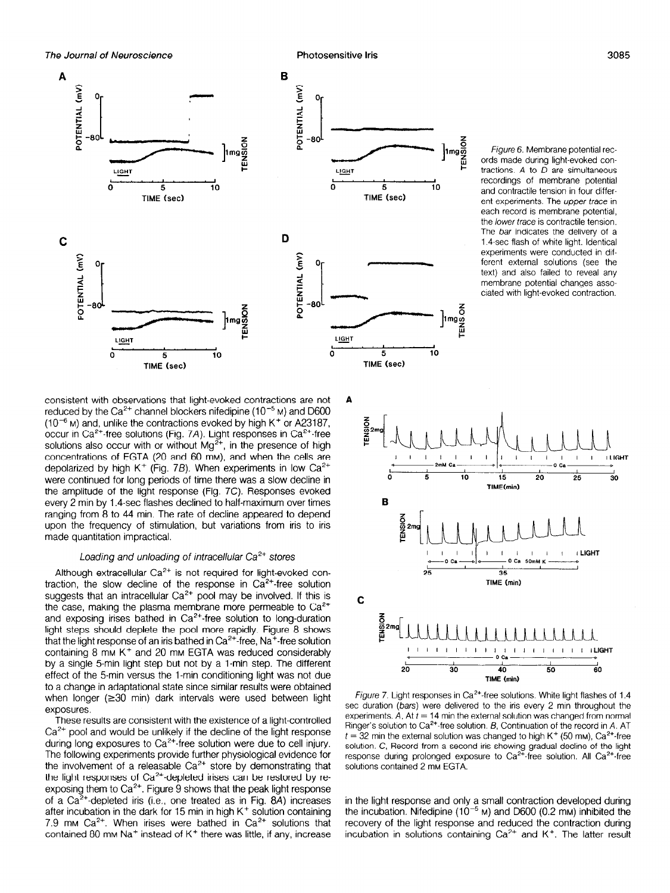

Figure 6. Membrane potential records made during light-evoked contractions. A to D are simultaneous recordings of membrane potential and contractile tension in four different experiments. The upper trace in each record is membrane potential, the lower trace is contractile tension. The bar indicates the delivery of a 1.4-sec flash of white light. Identical experiments were conducted in different external solutions (see the text) and also failed to reveal any membrane potential changes associated with light-evoked contraction.

consistent with observations that light-evoked contractions are not reduced by the  $Ca^{2+}$  channel blockers nifedipine (10<sup>-5</sup> M) and D600  $(10^{-6}$  M) and, unlike the contractions evoked by high K<sup>+</sup> or A23187, occur in Ca<sup>2+</sup>-free solutions (Fig. 7A). Light responses in Ca<sup>2+</sup>-free solutions also occur with or without  $Mg^{2+}$ , in the presence of high concentrations of EGTA (20 and 60 mM), and when the cells are depolarized by high K<sup>+</sup> (Fig. 7B). When experiments in low  $Ca^{2+}$ were continued for long periods of time there was a slow decline in the amplitude of the light response (Fig. 7C). Responses evoked every 2 min by 1.4-sec flashes declined to half-maximum over times ranging from 8 to 44 min. The rate of decline appeared to depend upon the frequency of stimulation, but variations from iris to iris made quantitation impractical.

# Loading and unloading of intracellular  $Ca<sup>2+</sup>$  stores

Although extracellular  $Ca^{2+}$  is not required for light-evoked contraction, the slow decline of the response in  $Ca<sup>2+</sup>$  free solution suggests, the sign accuracy of the response in our medication.  $t_{\text{c}}$  and  $t_{\text{c}}$  maticolation of poor may be inversed in and the case, making the plasma membrane more permeable to  $Ca^{2+}$  and exposing irises bathed in  $Ca^{2+}$ -free solution to long-duration light steps should deplete the pool more rapidly. Figure 8 shows  $t$  ight steps shower depicte the pool more rapidly. I ight to show containing 8 mm Cantaining Bached in Oak was reduced considerably was reduced considerably was reduced considerably containing 8 mm  $K^+$  and 20 mm EGTA was reduced considerably by a single 5-min light step but not by a 1-min step. The different effect of the 5-min versus the 1-min conditioning light was not due to a change in adaptational state since similar results were obtained when longer ( $\geq$ 30 min) dark intervals were used between light exposures.  $T$ uts are consistent with the existent with the existence of a light-controlled of a light-controlled of a light-controlled of a light-controlled of a light-controlled of a light-controlled of a light-controlled of a lig

First results are consistent with the existence or a light-control  $Ca<sup>2+</sup>$  pool and would be unlikely if the decline of the light response during long exposures to  $Ca<sup>2+</sup>$  free solution were due to cell injury. The following experiments provide further physiological evidence for the involvement of a releasable  $Ca<sup>2+</sup>$  store by demonstrating that the light responses of  $Ca^{2+}$ -depleted irises can be restored by reexposing them to  $Ca^{2+}$ . Figure 9 shows that the peak light response of a Ca<sup>2+</sup>-depleted iris (i.e., one treated as in Fig. 8A) increases after incubation in the dark for 15 min in high  $K^+$  solution containing 7.9 mm Ca<sup>2+</sup>. When irises were bathed in Ca<sup>2+</sup> solutions that contained 80 mm Na<sup>+</sup> instead of K<sup>+</sup> there was little, if any, increase



Figure 7. Light responses in Ca<sup>rel</sup>-tree solutions, white light flashes of 1.4 sec duration (bars) were delivered to the iris every 2 min throughout the experiments. A, At  $t = 14$  min the external solution was changed from normal Ringer's solution to  $Ca^{2+}$  free solution. B, Continuation of the record in A. AT  $t = 32$  min the external solution was changed to high K<sup>+</sup> (50 mm), Ca<sup>2+</sup>-free solution. C, Record from a second iris snowing gradual decline of the lig response auring proiongea ex solutions contained 2 mm EGTA.

in the light response and only a small contraction developed during the incubation. Nifedipine  $(10^{-5}$  M) and D600 (0.2 mM) inhibited the recovery of the light response and reduced the contraction during incubation in solutions containing  $Ca<sup>2+</sup>$  and  $K<sup>+</sup>$ . The latter result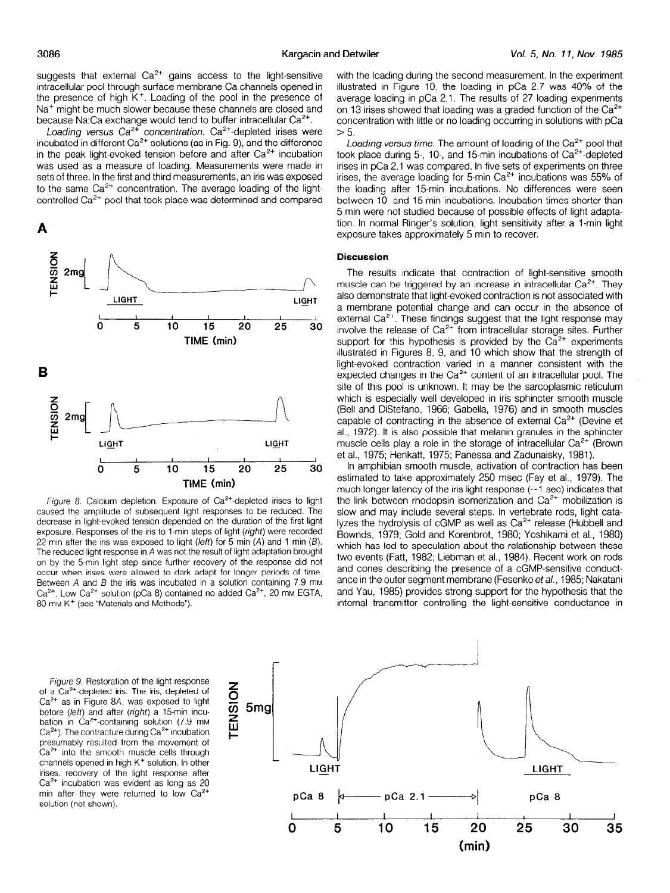suggests that external  $Ca^{2+}$  gains access to the light-sensitive intracellular pool through surface membrane Ca channels opened in the presence of high  $K^+$ . Loading of the pool in the presence of Na<sup>+</sup> might be much slower because these channels are closed and because Na:Ca exchange would tend to buffer intracellular Ca<sup>2+</sup>.

Loading versus  $Ca^{2+}$  concentration.  $Ca^{2+}$ -depleted irises were incubated in different  $Ca^{2+}$  solutions (as in Fig. 9), and the difference in the peak light-evoked tension before and after  $Ca<sup>2+</sup>$  incubation was used as a measure of loading. Measurements were made in sets of three. In the first and third measurements, an iris was exposed to the same  $Ca<sup>2+</sup>$  concentration. The average loading of the lightcontrolled Ca<sup>2+</sup> pool that took place was determined and compared





Figure 8. Calcium depletion. Exposure of  $Ca<sup>2+</sup>$ -depleted irises to light rigule of Calcium depletion. Exposure of Ca -depicted inses to light caused the amplitude of subsequent light-responses to be reduced. The decrease in light evoked tension depended on the duration of the hirst light  $\alpha$  posule. Hesponses of the institutional steps of light (*light*) were recorded  $ZZ$  run anet the fits was exposed to fight (ferr) for 5 min  $(A)$  and 1 min  $(D)$ . The reduced light response in A was not the result of light adaptation prought on by the 5-min light step since further recovery of the response did not occur when irises were allowed to dark adapt for longer periods of time. Between  $A$  and  $B$  the iris was incubated in a solution containing  $7.9$  mm  $Ca^{2+}$ . Low  $Ca^{2+}$  solution (pCa 8) contained no added  $Ca^{2+}$ , 20 mM EGTA, 80 mM K<sup>+</sup> (see "Materials and Methods").

with the loading during the second measurement. In the experiment illustrated in Figure 10, the loading in pCa 2.7 was 40% of the average loading in pCa 2.1. The results of 27 loading experiments on 13 irises showed that loading was a graded function of the  $Ca<sup>2+</sup>$ concentration with little or no loading occurring in solutions with pCa  $> 5$ .

Loading versus time. The amount of loading of the  $Ca<sup>2+</sup>$  pool that took place during 5-, 10-, and 15-min incubations of Ca<sup>2+</sup>-depleted irises in pCa 2.1 was compared. In five sets of experiments on three irises, the average loading for 5-min Ca<sup>2+</sup> incubations was 55% of the loading after 15.min incubations. No differences were seen between 10- and 15-min incubations. Incubation times shorter than 5 min were not studied because of possible effects of light adaptation. In normal Ringer's solution, light sensitivity after a I-min light exposure takes approximately 5 min to recover.

#### **Discussion**

The results indicate that contraction of light-sensitive smooth muscle can be triggered by an increase in intracellular Ca<sup>2+</sup>. They also demonstrate that light-evoked contraction is not associated with a membrane potential change and can occur in the absence of external Ca<sup>2+</sup>. These findings suggest that the light response may involve the release of  $Ca<sup>2+</sup>$  from intracellular storage sites. Further support for this hypothesis is provided by the  $Ca<sup>2+</sup>$  experiments illustrated in Figures 8, 9, and 10 which show that the strength of light-evoked contraction varied in a manner consistent with the expected changes in the  $Ca^{2+}$  content of an intracellular pool. The site of this pool is unknown. It may be the sarcoplasmic reticulum which is especially well developed in iris sphincter smooth muscle (Bell and DiStefano, 1966; Gabella, 1976) and in smooth muscles capable of contracting in the absence of external  $Ca<sup>2+</sup>$  (Devine et al., 1972). It is also possible that melanin granules in the sphincter muscle cells play a role in the storage of intracellular  $Ca<sup>2+</sup>$  (Brown et al., 1975; Henkatt, 1975; Panessa and Zadunaisky, 1981).

In amphibian smooth muscle, activation of contraction has been estimated to take approximately 250 msec (Fay et al., 1979). The much longer latency of the iris light response  $(-1 \text{ sec})$  indicates that the link between rhodopsin isomerization and  $Ca<sup>2+</sup>$  mobilization is slow and may include several steps. In vertebrate rods, light catalyzes the hydrolysis of cGMP as well as Ca<sup>2+</sup> release (Hubbell and Bownds, 1979; Gold and Korenbrot, 1980; Yoshikami et al., 1980) which has led to speculation about the relationship between these two events (Fatt, 1982; Liebman et al., 1984). Recent work on rods  $\frac{1}{2}$  and contain  $\frac{1}{2}$  contained a conduction of  $\frac{1}{2}$  contained conduction of  $\frac{1}{2}$ and cones describing the presence of a continuous conduct ance in the outer segment membrane (Fesenko et al., 1985; Nakatani and Yau, 1985) provides strong support for the hypothesis that the internal transmitter controlling the light-sensitive conductance in

Figure 9. Restoration of the light response of a  $Ca^{2+}$ -depleted iris. The iris, depleted of  $Ca<sup>2+</sup>$  as in Figure 8A, was exposed to light before (left) and after (right) a 15-min incubation in  $Ca^{2+}$ -containing solution (7.9 mm  $Ca<sup>2+</sup>$ ). The contracture during  $Ca<sup>2+</sup>$  incubation presumably resulted from the movement of  $Ca<sup>2+</sup>$  into the smooth muscle cells through channels opened in high K<sup>+</sup> solution. In other irises, recovery of the light response after  $Ca<sup>2+</sup>$  incubation was evident as long as 20 min after they were returned to low  $Ca<sup>2+</sup>$ solution (not shown).